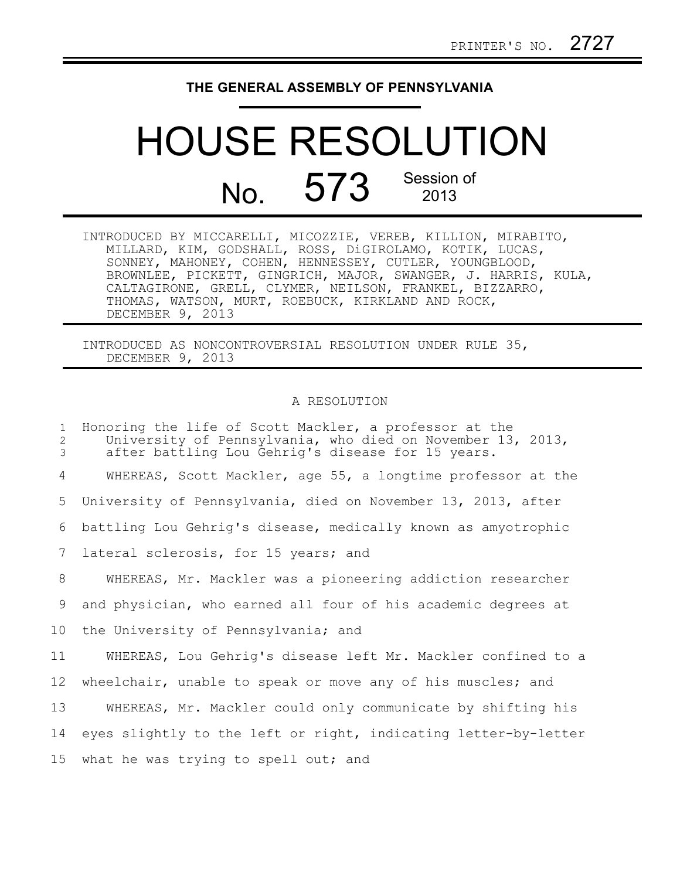## **THE GENERAL ASSEMBLY OF PENNSYLVANIA**

## HOUSE RESOLUTION No. 573 Session of 2013

INTRODUCED BY MICCARELLI, MICOZZIE, VEREB, KILLION, MIRABITO, MILLARD, KIM, GODSHALL, ROSS, DiGIROLAMO, KOTIK, LUCAS, SONNEY, MAHONEY, COHEN, HENNESSEY, CUTLER, YOUNGBLOOD, BROWNLEE, PICKETT, GINGRICH, MAJOR, SWANGER, J. HARRIS, KULA, CALTAGIRONE, GRELL, CLYMER, NEILSON, FRANKEL, BIZZARRO, THOMAS, WATSON, MURT, ROEBUCK, KIRKLAND AND ROCK, DECEMBER 9, 2013

INTRODUCED AS NONCONTROVERSIAL RESOLUTION UNDER RULE 35, DECEMBER 9, 2013

## A RESOLUTION

Honoring the life of Scott Mackler, a professor at the University of Pennsylvania, who died on November 13, 2013, after battling Lou Gehrig's disease for 15 years. WHEREAS, Scott Mackler, age 55, a longtime professor at the University of Pennsylvania, died on November 13, 2013, after battling Lou Gehrig's disease, medically known as amyotrophic lateral sclerosis, for 15 years; and WHEREAS, Mr. Mackler was a pioneering addiction researcher and physician, who earned all four of his academic degrees at the University of Pennsylvania; and WHEREAS, Lou Gehrig's disease left Mr. Mackler confined to a wheelchair, unable to speak or move any of his muscles; and WHEREAS, Mr. Mackler could only communicate by shifting his eyes slightly to the left or right, indicating letter-by-letter what he was trying to spell out; and 1 2 3 4 5 6 7 8 9 10 11 12 13 14 15